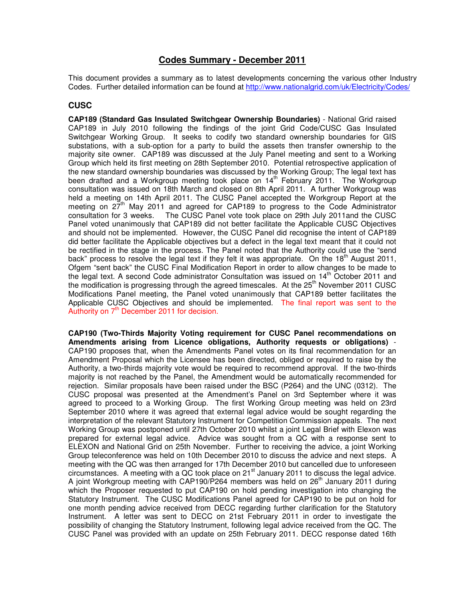# **Codes Summary - December 2011**

This document provides a summary as to latest developments concerning the various other Industry Codes. Further detailed information can be found at http://www.nationalgrid.com/uk/Electricity/Codes/

## **CUSC**

**CAP189 (Standard Gas Insulated Switchgear Ownership Boundaries)** - National Grid raised CAP189 in July 2010 following the findings of the joint Grid Code/CUSC Gas Insulated Switchgear Working Group. It seeks to codify two standard ownership boundaries for GIS substations, with a sub-option for a party to build the assets then transfer ownership to the majority site owner. CAP189 was discussed at the July Panel meeting and sent to a Working Group which held its first meeting on 28th September 2010. Potential retrospective application of the new standard ownership boundaries was discussed by the Working Group; The legal text has been drafted and a Workgroup meeting took place on 14<sup>th</sup> February 2011. The Workgroup consultation was issued on 18th March and closed on 8th April 2011. A further Workgroup was held a meeting on 14th April 2011. The CUSC Panel accepted the Workgroup Report at the meeting on  $27<sup>th</sup>$  May 2011 and agreed for CAP189 to progress to the Code Administrator consultation for 3 weeks. The CUSC Panel vote took place on 29th July 2011and the CUSC Panel voted unanimously that CAP189 did not better facilitate the Applicable CUSC Objectives and should not be implemented. However, the CUSC Panel did recognise the intent of CAP189 did better facilitate the Applicable objectives but a defect in the legal text meant that it could not be rectified in the stage in the process. The Panel noted that the Authority could use the "send back" process to resolve the legal text if they felt it was appropriate. On the 18<sup>th</sup> August 2011, Ofgem "sent back" the CUSC Final Modification Report in order to allow changes to be made to the legal text. A second Code administrator Consultation was issued on  $14<sup>th</sup>$  October 2011 and the modification is progressing through the agreed timescales. At the 25<sup>th</sup> November 2011 CUSC Modifications Panel meeting, the Panel voted unanimously that CAP189 better facilitates the Applicable CUSC Objectives and should be implemented. The final report was sent to the Authority on  $7<sup>th</sup>$  December 2011 for decision.

**CAP190 (Two-Thirds Majority Voting requirement for CUSC Panel recommendations on Amendments arising from Licence obligations, Authority requests or obligations)** - CAP190 proposes that, when the Amendments Panel votes on its final recommendation for an Amendment Proposal which the Licensee has been directed, obliged or required to raise by the Authority, a two-thirds majority vote would be required to recommend approval. If the two-thirds majority is not reached by the Panel, the Amendment would be automatically recommended for rejection. Similar proposals have been raised under the BSC (P264) and the UNC (0312). The CUSC proposal was presented at the Amendment's Panel on 3rd September where it was agreed to proceed to a Working Group. The first Working Group meeting was held on 23rd September 2010 where it was agreed that external legal advice would be sought regarding the interpretation of the relevant Statutory Instrument for Competition Commission appeals. The next Working Group was postponed until 27th October 2010 whilst a joint Legal Brief with Elexon was prepared for external legal advice. Advice was sought from a QC with a response sent to ELEXON and National Grid on 25th November. Further to receiving the advice, a joint Working Group teleconference was held on 10th December 2010 to discuss the advice and next steps. A meeting with the QC was then arranged for 17th December 2010 but cancelled due to unforeseen circumstances. A meeting with a QC took place on 21 $^{\text{st}}$  January 2011 to discuss the legal advice. A joint Workgroup meeting with CAP190/P264 members was held on  $26<sup>th</sup>$  January 2011 during which the Proposer requested to put CAP190 on hold pending investigation into changing the Statutory Instrument. The CUSC Modifications Panel agreed for CAP190 to be put on hold for one month pending advice received from DECC regarding further clarification for the Statutory Instrument. A letter was sent to DECC on 21st February 2011 in order to investigate the possibility of changing the Statutory Instrument, following legal advice received from the QC. The CUSC Panel was provided with an update on 25th February 2011. DECC response dated 16th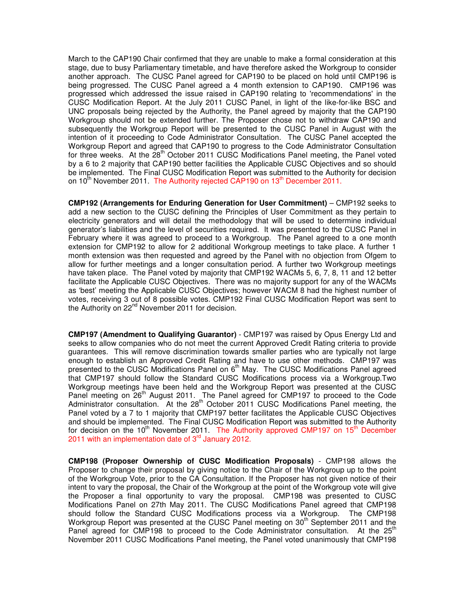March to the CAP190 Chair confirmed that they are unable to make a formal consideration at this stage, due to busy Parliamentary timetable, and have therefore asked the Workgroup to consider another approach. The CUSC Panel agreed for CAP190 to be placed on hold until CMP196 is being progressed. The CUSC Panel agreed a 4 month extension to CAP190. CMP196 was progressed which addressed the issue raised in CAP190 relating to 'recommendations' in the CUSC Modification Report. At the July 2011 CUSC Panel, in light of the like-for-like BSC and UNC proposals being rejected by the Authority, the Panel agreed by majority that the CAP190 Workgroup should not be extended further. The Proposer chose not to withdraw CAP190 and subsequently the Workgroup Report will be presented to the CUSC Panel in August with the intention of it proceeding to Code Administrator Consultation. The CUSC Panel accepted the Workgroup Report and agreed that CAP190 to progress to the Code Administrator Consultation for three weeks. At the 28<sup>th</sup> October 2011 CUSC Modifications Panel meeting, the Panel voted by a 6 to 2 majority that CAP190 better facilities the Applicable CUSC Objectives and so should be implemented. The Final CUSC Modification Report was submitted to the Authority for decision on 10<sup>th</sup> November 2011. The Authority rejected CAP190 on 13<sup>th</sup> December 2011.

**CMP192 (Arrangements for Enduring Generation for User Commitment)** – CMP192 seeks to add a new section to the CUSC defining the Principles of User Commitment as they pertain to electricity generators and will detail the methodology that will be used to determine individual generator's liabilities and the level of securities required. It was presented to the CUSC Panel in February where it was agreed to proceed to a Workgroup. The Panel agreed to a one month extension for CMP192 to allow for 2 additional Workgroup meetings to take place. A further 1 month extension was then requested and agreed by the Panel with no objection from Ofgem to allow for further meetings and a longer consultation period. A further two Workgroup meetings have taken place. The Panel voted by majority that CMP192 WACMs 5, 6, 7, 8, 11 and 12 better facilitate the Applicable CUSC Objectives. There was no majority support for any of the WACMs as 'best' meeting the Applicable CUSC Objectives; however WACM 8 had the highest number of votes, receiving 3 out of 8 possible votes. CMP192 Final CUSC Modification Report was sent to the Authority on 22<sup>nd</sup> November 2011 for decision.

**CMP197 (Amendment to Qualifying Guarantor)** - CMP197 was raised by Opus Energy Ltd and seeks to allow companies who do not meet the current Approved Credit Rating criteria to provide guarantees. This will remove discrimination towards smaller parties who are typically not large enough to establish an Approved Credit Rating and have to use other methods. CMP197 was presented to the CUSC Modifications Panel on  $6<sup>th</sup>$  May. The CUSC Modifications Panel agreed that CMP197 should follow the Standard CUSC Modifications process via a Workgroup.Two Workgroup meetings have been held and the Workgroup Report was presented at the CUSC Panel meeting on 26<sup>th</sup> August 2011. The Panel agreed for CMP197 to proceed to the Code Administrator consultation. At the  $28<sup>th</sup>$  October 2011 CUSC Modifications Panel meeting, the Panel voted by a 7 to 1 majority that CMP197 better facilitates the Applicable CUSC Objectives and should be implemented. The Final CUSC Modification Report was submitted to the Authority for decision on the 10<sup>th</sup> November 2011. The Authority approved CMP197 on 15<sup>th</sup> December 2011 with an implementation date of  $3<sup>rd</sup>$  January 2012.

**CMP198 (Proposer Ownership of CUSC Modification Proposals)** - CMP198 allows the Proposer to change their proposal by giving notice to the Chair of the Workgroup up to the point of the Workgroup Vote, prior to the CA Consultation. If the Proposer has not given notice of their intent to vary the proposal, the Chair of the Workgroup at the point of the Workgroup vote will give the Proposer a final opportunity to vary the proposal. CMP198 was presented to CUSC Modifications Panel on 27th May 2011. The CUSC Modifications Panel agreed that CMP198 should follow the Standard CUSC Modifications process via a Workgroup. The CMP198 Workgroup Report was presented at the CUSC Panel meeting on 30<sup>th</sup> September 2011 and the Panel agreed for CMP198 to proceed to the Code Administrator consultation. At the 25<sup>th</sup> November 2011 CUSC Modifications Panel meeting, the Panel voted unanimously that CMP198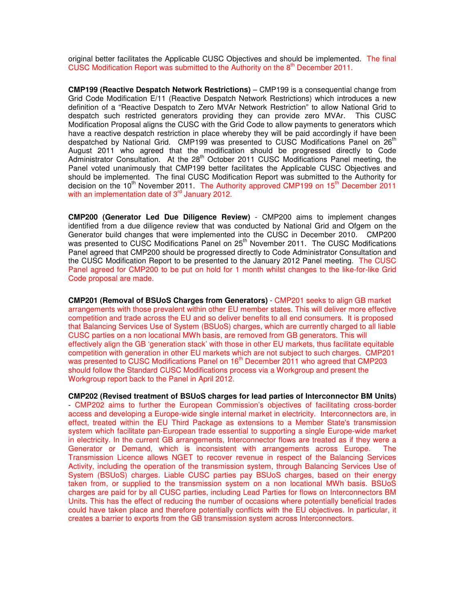original better facilitates the Applicable CUSC Objectives and should be implemented. The final CUSC Modification Report was submitted to the Authority on the  $8<sup>th</sup>$  December 2011.

**CMP199 (Reactive Despatch Network Restrictions)** – CMP199 is a consequential change from Grid Code Modification E/11 (Reactive Despatch Network Restrictions) which introduces a new definition of a "Reactive Despatch to Zero MVAr Network Restriction" to allow National Grid to despatch such restricted generators providing they can provide zero MVAr. This CUSC Modification Proposal aligns the CUSC with the Grid Code to allow payments to generators which have a reactive despatch restriction in place whereby they will be paid accordingly if have been despatched by National Grid. CMP199 was presented to CUSC Modifications Panel on 26<sup>th</sup> August 2011 who agreed that the modification should be progressed directly to Code Administrator Consultation. At the 28<sup>th</sup> October 2011 CUSC Modifications Panel meeting, the Panel voted unanimously that CMP199 better facilitates the Applicable CUSC Objectives and should be implemented. The final CUSC Modification Report was submitted to the Authority for decision on the 10<sup>th</sup> November 2011. The Authority approved CMP199 on 15<sup>th</sup> December 2011 with an implementation date of  $3<sup>rd</sup>$  January 2012.

**CMP200 (Generator Led Due Diligence Review)** - CMP200 aims to implement changes identified from a due diligence review that was conducted by National Grid and Ofgem on the Generator build changes that were implemented into the CUSC in December 2010. CMP200 was presented to CUSC Modifications Panel on 25<sup>th</sup> November 2011. The CUSC Modifications Panel agreed that CMP200 should be progressed directly to Code Administrator Consultation and the CUSC Modification Report to be presented to the January 2012 Panel meeting. The CUSC Panel agreed for CMP200 to be put on hold for 1 month whilst changes to the like-for-like Grid Code proposal are made.

**CMP201 (Removal of BSUoS Charges from Generators)** - CMP201 seeks to align GB market arrangements with those prevalent within other EU member states. This will deliver more effective competition and trade across the EU and so deliver benefits to all end consumers. It is proposed that Balancing Services Use of System (BSUoS) charges, which are currently charged to all liable CUSC parties on a non locational MWh basis, are removed from GB generators. This will effectively align the GB 'generation stack' with those in other EU markets, thus facilitate equitable competition with generation in other EU markets which are not subject to such charges. CMP201 was presented to CUSC Modifications Panel on  $16<sup>th</sup>$  December 2011 who agreed that CMP203 should follow the Standard CUSC Modifications process via a Workgroup and present the Workgroup report back to the Panel in April 2012.

**CMP202 (Revised treatment of BSUoS charges for lead parties of Interconnector BM Units)** - CMP202 aims to further the European Commission's objectives of facilitating cross-border access and developing a Europe-wide single internal market in electricity. Interconnectors are, in effect, treated within the EU Third Package as extensions to a Member State's transmission system which facilitate pan-European trade essential to supporting a single Europe-wide market in electricity. In the current GB arrangements, Interconnector flows are treated as if they were a Generator or Demand, which is inconsistent with arrangements across Europe. The Transmission Licence allows NGET to recover revenue in respect of the Balancing Services Activity, including the operation of the transmission system, through Balancing Services Use of System (BSUoS) charges. Liable CUSC parties pay BSUoS charges, based on their energy taken from, or supplied to the transmission system on a non locational MWh basis. BSUoS charges are paid for by all CUSC parties, including Lead Parties for flows on Interconnectors BM Units. This has the effect of reducing the number of occasions where potentially beneficial trades could have taken place and therefore potentially conflicts with the EU objectives. In particular, it creates a barrier to exports from the GB transmission system across Interconnectors.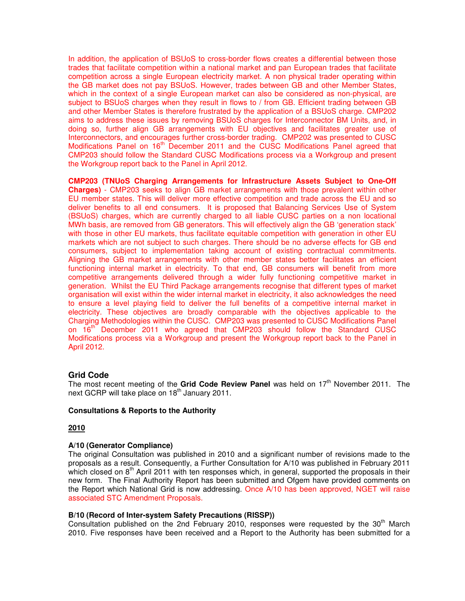In addition, the application of BSUoS to cross-border flows creates a differential between those trades that facilitate competition within a national market and pan European trades that facilitate competition across a single European electricity market. A non physical trader operating within the GB market does not pay BSUoS. However, trades between GB and other Member States, which in the context of a single European market can also be considered as non-physical, are subject to BSUoS charges when they result in flows to / from GB. Efficient trading between GB and other Member States is therefore frustrated by the application of a BSUoS charge. CMP202 aims to address these issues by removing BSUoS charges for Interconnector BM Units, and, in doing so, further align GB arrangements with EU objectives and facilitates greater use of Interconnectors, and encourages further cross-border trading. CMP202 was presented to CUSC Modifications Panel on  $16<sup>th</sup>$  December 2011 and the CUSC Modifications Panel agreed that CMP203 should follow the Standard CUSC Modifications process via a Workgroup and present the Workgroup report back to the Panel in April 2012.

**CMP203 (TNUoS Charging Arrangements for Infrastructure Assets Subject to One-Off Charges)** - CMP203 seeks to align GB market arrangements with those prevalent within other EU member states. This will deliver more effective competition and trade across the EU and so deliver benefits to all end consumers. It is proposed that Balancing Services Use of System (BSUoS) charges, which are currently charged to all liable CUSC parties on a non locational MWh basis, are removed from GB generators. This will effectively align the GB 'generation stack' with those in other EU markets, thus facilitate equitable competition with generation in other EU markets which are not subject to such charges. There should be no adverse effects for GB end consumers, subject to implementation taking account of existing contractual commitments. Aligning the GB market arrangements with other member states better facilitates an efficient functioning internal market in electricity. To that end, GB consumers will benefit from more competitive arrangements delivered through a wider fully functioning competitive market in generation. Whilst the EU Third Package arrangements recognise that different types of market organisation will exist within the wider internal market in electricity, it also acknowledges the need to ensure a level playing field to deliver the full benefits of a competitive internal market in electricity. These objectives are broadly comparable with the objectives applicable to the Charging Methodologies within the CUSC. CMP203 was presented to CUSC Modifications Panel on 16<sup>th</sup> December 2011 who agreed that CMP203 should follow the Standard CUSC Modifications process via a Workgroup and present the Workgroup report back to the Panel in April 2012.

# **Grid Code**

The most recent meeting of the Grid Code Review Panel was held on 17<sup>th</sup> November 2011. The next GCRP will take place on 18<sup>th</sup> January 2011.

#### **Consultations & Reports to the Authority**

#### **2010**

#### **A/10 (Generator Compliance)**

The original Consultation was published in 2010 and a significant number of revisions made to the proposals as a result. Consequently, a Further Consultation for A/10 was published in February 2011 which closed on  $8<sup>th</sup>$  April 2011 with ten responses which, in general, supported the proposals in their new form. The Final Authority Report has been submitted and Ofgem have provided comments on the Report which National Grid is now addressing. Once A/10 has been approved, NGET will raise associated STC Amendment Proposals.

#### **B/10 (Record of Inter-system Safety Precautions (RISSP))**

Consultation published on the 2nd February 2010, responses were requested by the 30<sup>th</sup> March 2010. Five responses have been received and a Report to the Authority has been submitted for a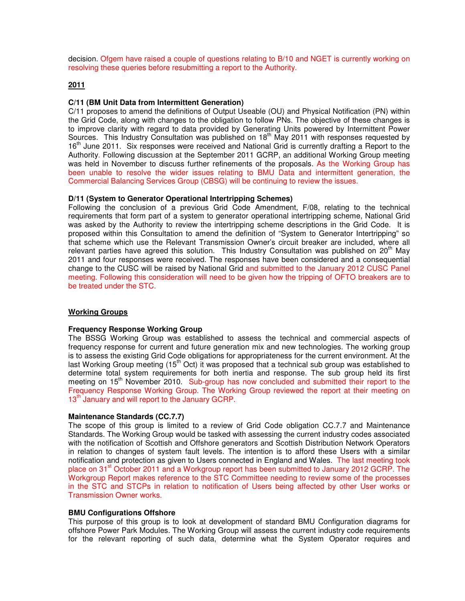decision. Ofgem have raised a couple of questions relating to B/10 and NGET is currently working on resolving these queries before resubmitting a report to the Authority.

#### **2011**

#### **C/11 (BM Unit Data from Intermittent Generation)**

C/11 proposes to amend the definitions of Output Useable (OU) and Physical Notification (PN) within the Grid Code, along with changes to the obligation to follow PNs. The objective of these changes is to improve clarity with regard to data provided by Generating Units powered by Intermittent Power Sources. This Industry Consultation was published on  $18<sup>th</sup>$  May 2011 with responses requested by 16<sup>th</sup> June 2011. Six responses were received and National Grid is currently drafting a Report to the Authority. Following discussion at the September 2011 GCRP, an additional Working Group meeting was held in November to discuss further refinements of the proposals. As the Working Group has been unable to resolve the wider issues relating to BMU Data and intermittent generation, the Commercial Balancing Services Group (CBSG) will be continuing to review the issues.

#### **D/11 (System to Generator Operational Intertripping Schemes)**

Following the conclusion of a previous Grid Code Amendment, F/08, relating to the technical requirements that form part of a system to generator operational intertripping scheme, National Grid was asked by the Authority to review the intertripping scheme descriptions in the Grid Code. It is proposed within this Consultation to amend the definition of "System to Generator Intertripping" so that scheme which use the Relevant Transmission Owner's circuit breaker are included, where all relevant parties have agreed this solution. This Industry Consultation was published on  $20<sup>th</sup>$  May 2011 and four responses were received. The responses have been considered and a consequential change to the CUSC will be raised by National Grid and submitted to the January 2012 CUSC Panel meeting. Following this consideration will need to be given how the tripping of OFTO breakers are to be treated under the STC.

#### **Working Groups**

## **Frequency Response Working Group**

The BSSG Working Group was established to assess the technical and commercial aspects of frequency response for current and future generation mix and new technologies. The working group is to assess the existing Grid Code obligations for appropriateness for the current environment. At the last Working Group meeting (15<sup>th</sup> Oct) it was proposed that a technical sub group was established to determine total system requirements for both inertia and response. The sub group held its first meeting on 15<sup>th</sup> November 2010. Sub-group has now concluded and submitted their report to the Frequency Response Working Group. The Working Group reviewed the report at their meeting on 13<sup>th</sup> January and will report to the January GCRP.

#### **Maintenance Standards (CC.7.7)**

The scope of this group is limited to a review of Grid Code obligation CC.7.7 and Maintenance Standards. The Working Group would be tasked with assessing the current industry codes associated with the notification of Scottish and Offshore generators and Scottish Distribution Network Operators in relation to changes of system fault levels. The intention is to afford these Users with a similar notification and protection as given to Users connected in England and Wales. The last meeting took place on 31<sup>st</sup> October 2011 and a Workgroup report has been submitted to January 2012 GCRP. The Workgroup Report makes reference to the STC Committee needing to review some of the processes in the STC and STCPs in relation to notification of Users being affected by other User works or Transmission Owner works.

#### **BMU Configurations Offshore**

This purpose of this group is to look at development of standard BMU Configuration diagrams for offshore Power Park Modules. The Working Group will assess the current industry code requirements for the relevant reporting of such data, determine what the System Operator requires and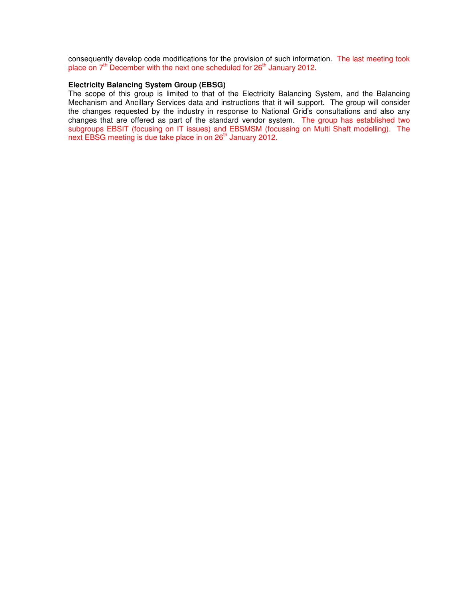consequently develop code modifications for the provision of such information. The last meeting took place on  $7<sup>th</sup>$  December with the next one scheduled for  $26<sup>th</sup>$  January 2012.

#### **Electricity Balancing System Group (EBSG)**

The scope of this group is limited to that of the Electricity Balancing System, and the Balancing Mechanism and Ancillary Services data and instructions that it will support. The group will consider the changes requested by the industry in response to National Grid's consultations and also any changes that are offered as part of the standard vendor system. The group has established two subgroups EBSIT (focusing on IT issues) and EBSMSM (focussing on Multi Shaft modelling). The next EBSG meeting is due take place in on 26<sup>th</sup> January 2012.